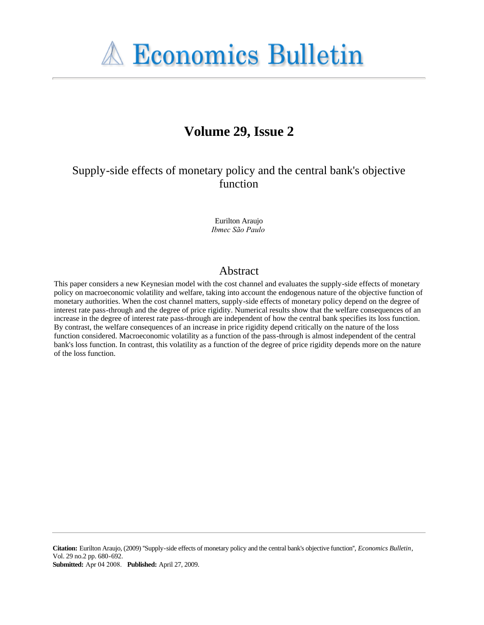

# **Volume 29, Issue 2**

Supply-side effects of monetary policy and the central bank's objective function

> Eurilton Araujo *Ibmec São Paulo*

## Abstract

This paper considers a new Keynesian model with the cost channel and evaluates the supply-side effects of monetary policy on macroeconomic volatility and welfare, taking into account the endogenous nature of the objective function of monetary authorities. When the cost channel matters, supply-side effects of monetary policy depend on the degree of interest rate pass-through and the degree of price rigidity. Numerical results show that the welfare consequences of an increase in the degree of interest rate pass-through are independent of how the central bank specifies its loss function. By contrast, the welfare consequences of an increase in price rigidity depend critically on the nature of the loss function considered. Macroeconomic volatility as a function of the pass-through is almost independent of the central bank's loss function. In contrast, this volatility as a function of the degree of price rigidity depends more on the nature of the loss function.

**Citation:** Eurilton Araujo, (2009) ''Supply-side effects of monetary policy and the central bank's objective function'', *Economics Bulletin*, Vol. 29 no.2 pp. 680-692. **Submitted:** Apr 04 2008. **Published:** April 27, 2009.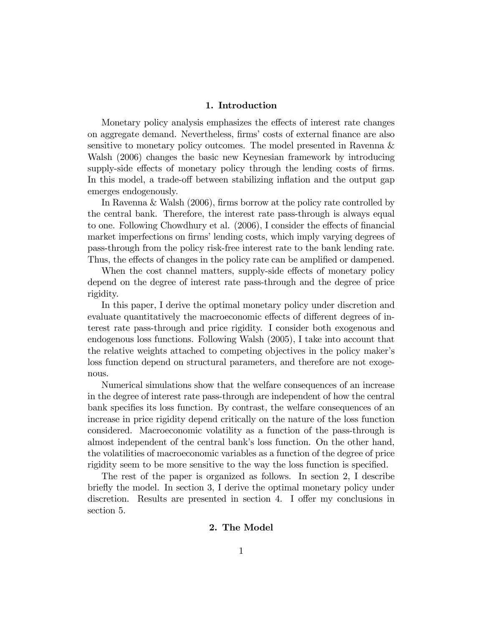## 1. Introduction

Monetary policy analysis emphasizes the effects of interest rate changes on aggregate demand. Nevertheless, firms' costs of external finance are also sensitive to monetary policy outcomes. The model presented in Ravenna & Walsh (2006) changes the basic new Keynesian framework by introducing supply-side effects of monetary policy through the lending costs of firms. In this model, a trade-off between stabilizing inflation and the output gap emerges endogenously.

In Ravenna & Walsh  $(2006)$ , firms borrow at the policy rate controlled by the central bank. Therefore, the interest rate pass-through is always equal to one. Following Chowdhury et al.  $(2006)$ , I consider the effects of financial market imperfections on firms' lending costs, which imply varying degrees of pass-through from the policy risk-free interest rate to the bank lending rate. Thus, the effects of changes in the policy rate can be amplified or dampened.

When the cost channel matters, supply-side effects of monetary policy depend on the degree of interest rate pass-through and the degree of price rigidity.

In this paper, I derive the optimal monetary policy under discretion and evaluate quantitatively the macroeconomic effects of different degrees of interest rate pass-through and price rigidity. I consider both exogenous and endogenous loss functions. Following Walsh (2005), I take into account that the relative weights attached to competing objectives in the policy makerís loss function depend on structural parameters, and therefore are not exogenous.

Numerical simulations show that the welfare consequences of an increase in the degree of interest rate pass-through are independent of how the central bank specifies its loss function. By contrast, the welfare consequences of an increase in price rigidity depend critically on the nature of the loss function considered. Macroeconomic volatility as a function of the pass-through is almost independent of the central bank's loss function. On the other hand, the volatilities of macroeconomic variables as a function of the degree of price rigidity seem to be more sensitive to the way the loss function is specified.

The rest of the paper is organized as follows. In section 2, I describe briefly the model. In section 3, I derive the optimal monetary policy under discretion. Results are presented in section 4. I offer my conclusions in section 5.

## 2. The Model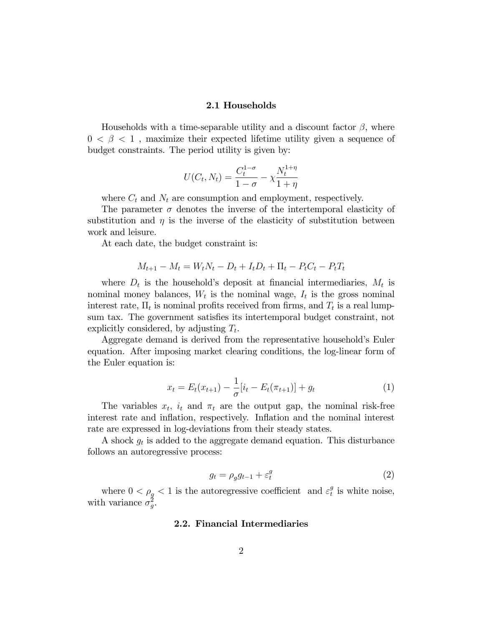## 2.1 Households

Households with a time-separable utility and a discount factor  $\beta$ , where  $0 < \beta < 1$ , maximize their expected lifetime utility given a sequence of budget constraints. The period utility is given by:

$$
U(C_t, N_t) = \frac{C_t^{1-\sigma}}{1-\sigma} - \chi \frac{N_t^{1+\eta}}{1+\eta}
$$

where  $C_t$  and  $N_t$  are consumption and employment, respectively.

The parameter  $\sigma$  denotes the inverse of the intertemporal elasticity of substitution and  $\eta$  is the inverse of the elasticity of substitution between work and leisure.

At each date, the budget constraint is:

$$
M_{t+1} - M_t = W_t N_t - D_t + I_t D_t + \Pi_t - P_t C_t - P_t T_t
$$

where  $D_t$  is the household's deposit at financial intermediaries,  $M_t$  is nominal money balances,  $W_t$  is the nominal wage,  $I_t$  is the gross nominal interest rate,  $\Pi_t$  is nominal profits received from firms, and  $T_t$  is a real lumpsum tax. The government satisfies its intertemporal budget constraint, not explicitly considered, by adjusting  $T_t$ .

Aggregate demand is derived from the representative household's Euler equation. After imposing market clearing conditions, the log-linear form of the Euler equation is:

$$
x_t = E_t(x_{t+1}) - \frac{1}{\sigma} [i_t - E_t(\pi_{t+1})] + g_t
$$
\n(1)

The variables  $x_t$ ,  $i_t$  and  $\pi_t$  are the output gap, the nominal risk-free interest rate and inflation, respectively. Inflation and the nominal interest rate are expressed in log-deviations from their steady states.

A shock  $g_t$  is added to the aggregate demand equation. This disturbance follows an autoregressive process:

$$
g_t = \rho_g g_{t-1} + \varepsilon_t^g \tag{2}
$$

where  $0 < \rho_g < 1$  is the autoregressive coefficient and  $\varepsilon_t^g$  $_t^g$  is white noise, with variance  $\sigma_g^2$ .

### 2.2. Financial Intermediaries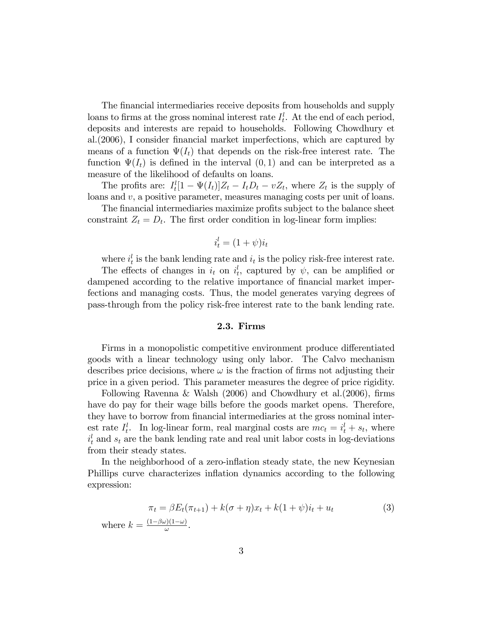The financial intermediaries receive deposits from households and supply loans to firms at the gross nominal interest rate  $I_t^l$ . At the end of each period, deposits and interests are repaid to households. Following Chowdhury et al.(2006), I consider Önancial market imperfections, which are captured by means of a function  $\Psi(I_t)$  that depends on the risk-free interest rate. The function  $\Psi(I_t)$  is defined in the interval  $(0,1)$  and can be interpreted as a measure of the likelihood of defaults on loans.

The profits are:  $I_t^l[1 - \Psi(I_t)]Z_t - I_tD_t - vZ_t$ , where  $Z_t$  is the supply of loans and  $v$ , a positive parameter, measures managing costs per unit of loans.

The financial intermediaries maximize profits subject to the balance sheet constraint  $Z_t = D_t$ . The first order condition in log-linear form implies:

$$
i_t^l = (1 + \psi)i_t
$$

where  $i_t^l$  is the bank lending rate and  $i_t$  is the policy risk-free interest rate.

The effects of changes in  $i_t$  on  $i_t^l$ , captured by  $\psi$ , can be amplified or dampened according to the relative importance of financial market imperfections and managing costs. Thus, the model generates varying degrees of pass-through from the policy risk-free interest rate to the bank lending rate.

## 2.3. Firms

Firms in a monopolistic competitive environment produce differentiated goods with a linear technology using only labor. The Calvo mechanism describes price decisions, where  $\omega$  is the fraction of firms not adjusting their price in a given period. This parameter measures the degree of price rigidity.

Following Ravenna & Walsh  $(2006)$  and Chowdhury et al. $(2006)$ , firms have do pay for their wage bills before the goods market opens. Therefore, they have to borrow from financial intermediaries at the gross nominal interest rate  $I_t^l$ . In log-linear form, real marginal costs are  $mc_t = i_t^l + s_t$ , where  $i_t^l$  and  $s_t$  are the bank lending rate and real unit labor costs in log-deviations from their steady states.

In the neighborhood of a zero-inflation steady state, the new Keynesian Phillips curve characterizes inflation dynamics according to the following expression:

$$
\pi_t = \beta E_t(\pi_{t+1}) + k(\sigma + \eta)x_t + k(1 + \psi)i_t + u_t
$$
\n
$$
\text{where } k = \frac{(1 - \beta\omega)(1 - \omega)}{\omega}.
$$
\n(3)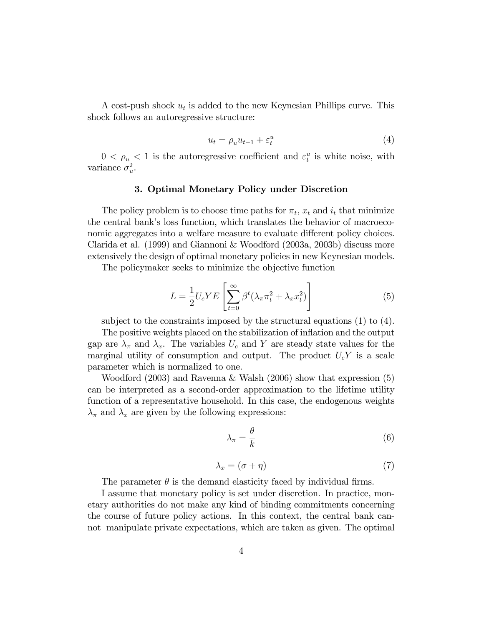A cost-push shock  $u_t$  is added to the new Keynesian Phillips curve. This shock follows an autoregressive structure:

$$
u_t = \rho_u u_{t-1} + \varepsilon_t^u \tag{4}
$$

 $0 < \rho_u < 1$  is the autoregressive coefficient and  $\varepsilon_t^u$  is white noise, with variance  $\sigma_u^2$ .

## 3. Optimal Monetary Policy under Discretion

The policy problem is to choose time paths for  $\pi_t$ ,  $x_t$  and  $i_t$  that minimize the central bankís loss function, which translates the behavior of macroeconomic aggregates into a welfare measure to evaluate different policy choices. Clarida et al. (1999) and Giannoni & Woodford (2003a, 2003b) discuss more extensively the design of optimal monetary policies in new Keynesian models.

The policymaker seeks to minimize the objective function

$$
L = \frac{1}{2} U_c Y E \left[ \sum_{t=0}^{\infty} \beta^t (\lambda_\pi \pi_t^2 + \lambda_x x_t^2) \right]
$$
 (5)

subject to the constraints imposed by the structural equations (1) to (4).

The positive weights placed on the stabilization of inflation and the output gap are  $\lambda_{\pi}$  and  $\lambda_{x}$ . The variables  $U_c$  and Y are steady state values for the marginal utility of consumption and output. The product  $U_c Y$  is a scale parameter which is normalized to one.

Woodford (2003) and Ravenna & Walsh (2006) show that expression (5) can be interpreted as a second-order approximation to the lifetime utility function of a representative household. In this case, the endogenous weights  $\lambda_{\pi}$  and  $\lambda_{x}$  are given by the following expressions:

$$
\lambda_{\pi} = \frac{\theta}{k} \tag{6}
$$

$$
\lambda_x = (\sigma + \eta) \tag{7}
$$

The parameter  $\theta$  is the demand elasticity faced by individual firms.

I assume that monetary policy is set under discretion. In practice, monetary authorities do not make any kind of binding commitments concerning the course of future policy actions. In this context, the central bank cannot manipulate private expectations, which are taken as given. The optimal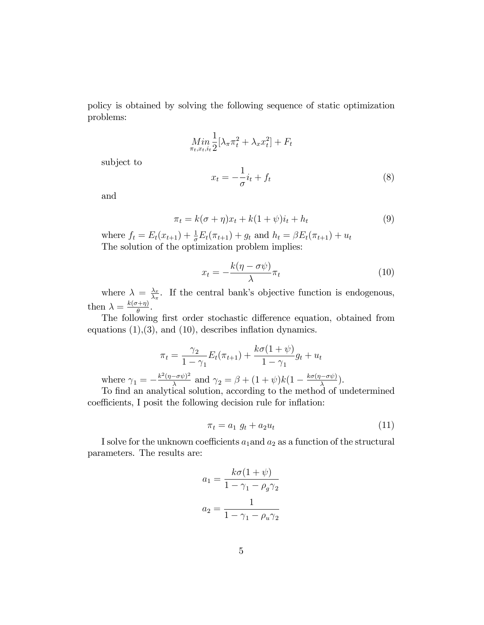policy is obtained by solving the following sequence of static optimization problems:

$$
\underset{\pi_{t},x_{t},i_{t}}{\min} \frac{1}{2} [\lambda_{\pi} \pi_{t}^{2} + \lambda_{x} x_{t}^{2}] + F_{t}
$$

subject to

$$
x_t = -\frac{1}{\sigma}i_t + f_t \tag{8}
$$

and

$$
\pi_t = k(\sigma + \eta)x_t + k(1 + \psi)i_t + h_t \tag{9}
$$

where  $f_t = E_t(x_{t+1}) + \frac{1}{\sigma} E_t(\pi_{t+1}) + g_t$  and  $h_t = \beta E_t(\pi_{t+1}) + u_t$ The solution of the optimization problem implies:

$$
x_t = -\frac{k(\eta - \sigma\psi)}{\lambda}\pi_t
$$
 (10)

where  $\lambda = \frac{\lambda_x}{\lambda_x}$  $\frac{\lambda_x}{\lambda_x}$ . If the central bank's objective function is endogenous, then  $\lambda = \frac{k(\sigma + \eta)}{\theta}$  $\frac{+\eta)}{\theta}$ .

The following first order stochastic difference equation, obtained from equations  $(1), (3),$  and  $(10),$  describes inflation dynamics.

$$
\pi_t = \frac{\gamma_2}{1 - \gamma_1} E_t(\pi_{t+1}) + \frac{k\sigma(1 + \psi)}{1 - \gamma_1} g_t + u_t
$$

where  $\gamma_1 = -\frac{k^2(\eta - \sigma \psi)^2}{\lambda}$  $\frac{(-\sigma\psi)^2}{\lambda}$  and  $\gamma_2 = \beta + (1+\psi)k(1-\frac{k\sigma(\eta-\sigma\psi)}{\lambda}).$ 

To find an analytical solution, according to the method of undetermined coefficients, I posit the following decision rule for inflation:

$$
\pi_t = a_1 \ g_t + a_2 u_t \tag{11}
$$

I solve for the unknown coefficients  $a_1$  and  $a_2$  as a function of the structural parameters. The results are:

$$
a_1 = \frac{k\sigma(1+\psi)}{1-\gamma_1-\rho_g\gamma_2}
$$

$$
a_2 = \frac{1}{1-\gamma_1-\rho_u\gamma_2}
$$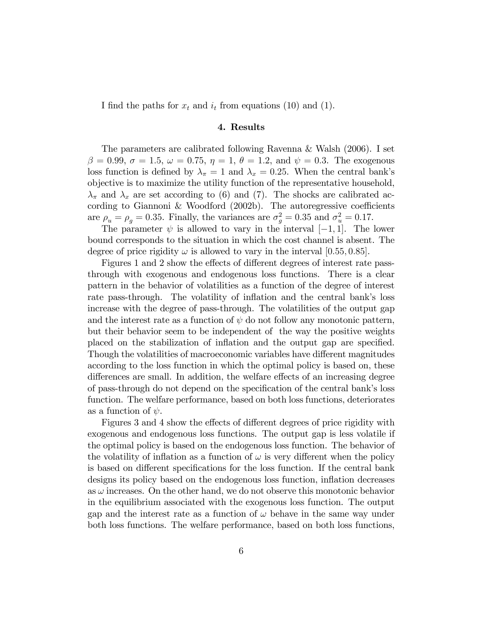I find the paths for  $x_t$  and  $i_t$  from equations (10) and (1).

## 4. Results

The parameters are calibrated following Ravenna & Walsh (2006). I set  $\beta = 0.99, \sigma = 1.5, \omega = 0.75, \eta = 1, \theta = 1.2, \text{ and } \psi = 0.3.$  The exogenous loss function is defined by  $\lambda_{\pi} = 1$  and  $\lambda_{x} = 0.25$ . When the central bank's objective is to maximize the utility function of the representative household,  $\lambda_{\pi}$  and  $\lambda_{x}$  are set according to (6) and (7). The shocks are calibrated according to Giannoni & Woodford  $(2002b)$ . The autoregressive coefficients are  $\rho_u = \rho_g = 0.35$ . Finally, the variances are  $\sigma_g^2 = 0.35$  and  $\sigma_u^2 = 0.17$ .

The parameter  $\psi$  is allowed to vary in the interval  $[-1, 1]$ . The lower bound corresponds to the situation in which the cost channel is absent. The degree of price rigidity  $\omega$  is allowed to vary in the interval [0.55, 0.85].

Figures 1 and 2 show the effects of different degrees of interest rate passthrough with exogenous and endogenous loss functions. There is a clear pattern in the behavior of volatilities as a function of the degree of interest rate pass-through. The volatility of inflation and the central bank's loss increase with the degree of pass-through. The volatilities of the output gap and the interest rate as a function of  $\psi$  do not follow any monotonic pattern, but their behavior seem to be independent of the way the positive weights placed on the stabilization of inflation and the output gap are specified. Though the volatilities of macroeconomic variables have different magnitudes according to the loss function in which the optimal policy is based on, these differences are small. In addition, the welfare effects of an increasing degree of pass-through do not depend on the specification of the central bank's loss function. The welfare performance, based on both loss functions, deteriorates as a function of  $\psi$ .

Figures 3 and 4 show the effects of different degrees of price rigidity with exogenous and endogenous loss functions. The output gap is less volatile if the optimal policy is based on the endogenous loss function. The behavior of the volatility of inflation as a function of  $\omega$  is very different when the policy is based on different specifications for the loss function. If the central bank designs its policy based on the endogenous loss function, ináation decreases as  $\omega$  increases. On the other hand, we do not observe this monotonic behavior in the equilibrium associated with the exogenous loss function. The output gap and the interest rate as a function of  $\omega$  behave in the same way under both loss functions. The welfare performance, based on both loss functions,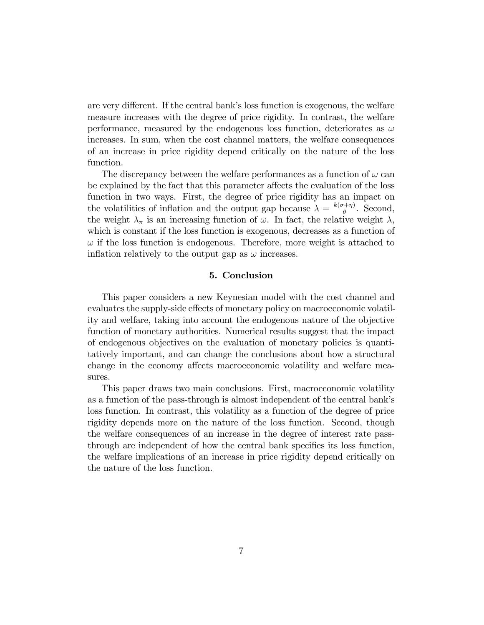are very different. If the central bank's loss function is exogenous, the welfare measure increases with the degree of price rigidity. In contrast, the welfare performance, measured by the endogenous loss function, deteriorates as  $\omega$ increases. In sum, when the cost channel matters, the welfare consequences of an increase in price rigidity depend critically on the nature of the loss function.

The discrepancy between the welfare performances as a function of  $\omega$  can be explained by the fact that this parameter affects the evaluation of the loss function in two ways. First, the degree of price rigidity has an impact on the volatilities of inflation and the output gap because  $\lambda = \frac{k(\sigma + \eta)}{\rho}$  $\frac{\pi + \eta}{\theta}$ . Second, the weight  $\lambda_{\pi}$  is an increasing function of  $\omega$ . In fact, the relative weight  $\lambda$ , which is constant if the loss function is exogenous, decreases as a function of  $\omega$  if the loss function is endogenous. Therefore, more weight is attached to inflation relatively to the output gap as  $\omega$  increases.

## 5. Conclusion

This paper considers a new Keynesian model with the cost channel and evaluates the supply-side effects of monetary policy on macroeconomic volatility and welfare, taking into account the endogenous nature of the objective function of monetary authorities. Numerical results suggest that the impact of endogenous objectives on the evaluation of monetary policies is quantitatively important, and can change the conclusions about how a structural change in the economy affects macroeconomic volatility and welfare measures.

This paper draws two main conclusions. First, macroeconomic volatility as a function of the pass-through is almost independent of the central bank's loss function. In contrast, this volatility as a function of the degree of price rigidity depends more on the nature of the loss function. Second, though the welfare consequences of an increase in the degree of interest rate passthrough are independent of how the central bank specifies its loss function, the welfare implications of an increase in price rigidity depend critically on the nature of the loss function.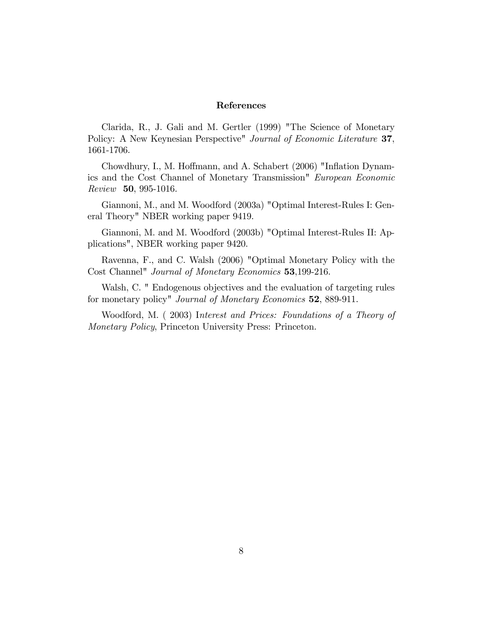#### References

Clarida, R., J. Gali and M. Gertler (1999) "The Science of Monetary Policy: A New Keynesian Perspective" Journal of Economic Literature 37, 1661-1706.

Chowdhury, I., M. Hoffmann, and A. Schabert (2006) "Inflation Dynamics and the Cost Channel of Monetary Transmission" European Economic Review 50, 995-1016.

Giannoni, M., and M. Woodford (2003a) "Optimal Interest-Rules I: General Theory" NBER working paper 9419.

Giannoni, M. and M. Woodford (2003b) "Optimal Interest-Rules II: Applications", NBER working paper 9420.

Ravenna, F., and C. Walsh (2006) "Optimal Monetary Policy with the Cost Channel" Journal of Monetary Economics 53,199-216.

Walsh, C. " Endogenous objectives and the evaluation of targeting rules for monetary policy" Journal of Monetary Economics 52, 889-911.

Woodford, M. ( 2003) Interest and Prices: Foundations of a Theory of Monetary Policy, Princeton University Press: Princeton.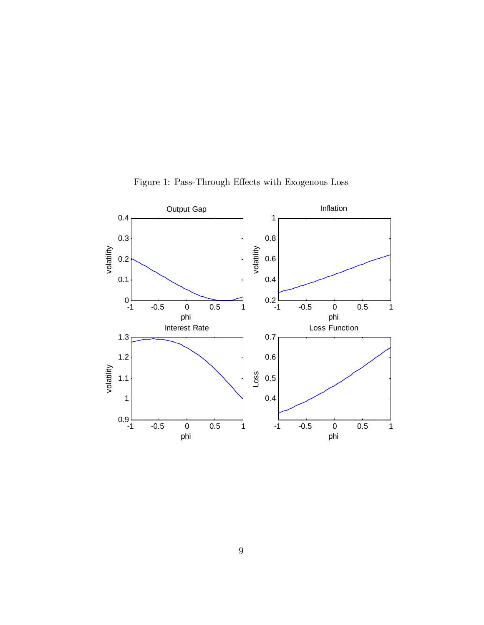

Figure 1: Pass-Through Effects with Exogenous Loss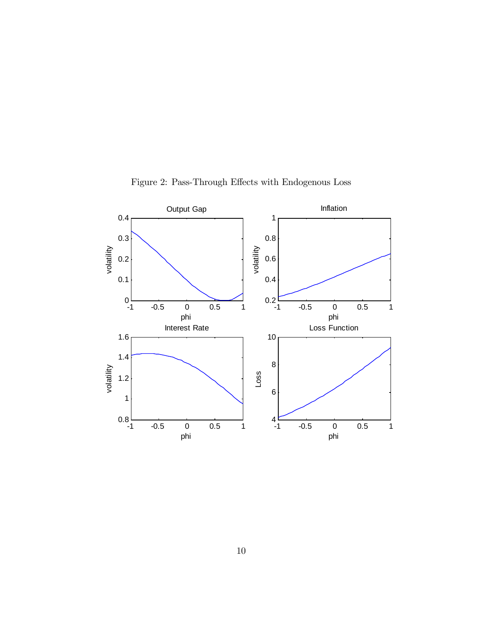

Figure 2: Pass-Through Effects with Endogenous Loss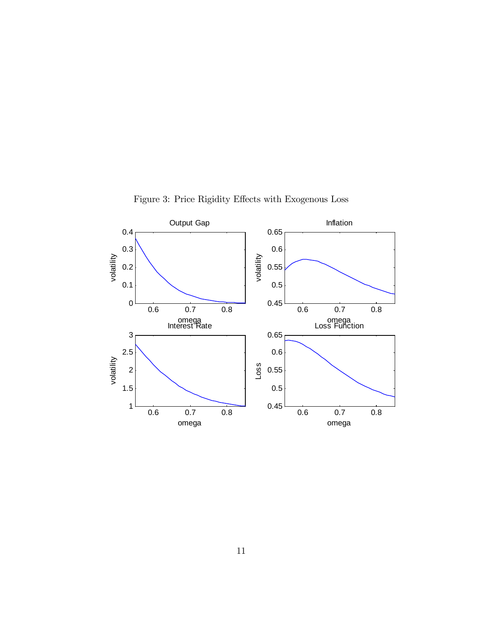

Figure 3: Price Rigidity Effects with Exogenous Loss